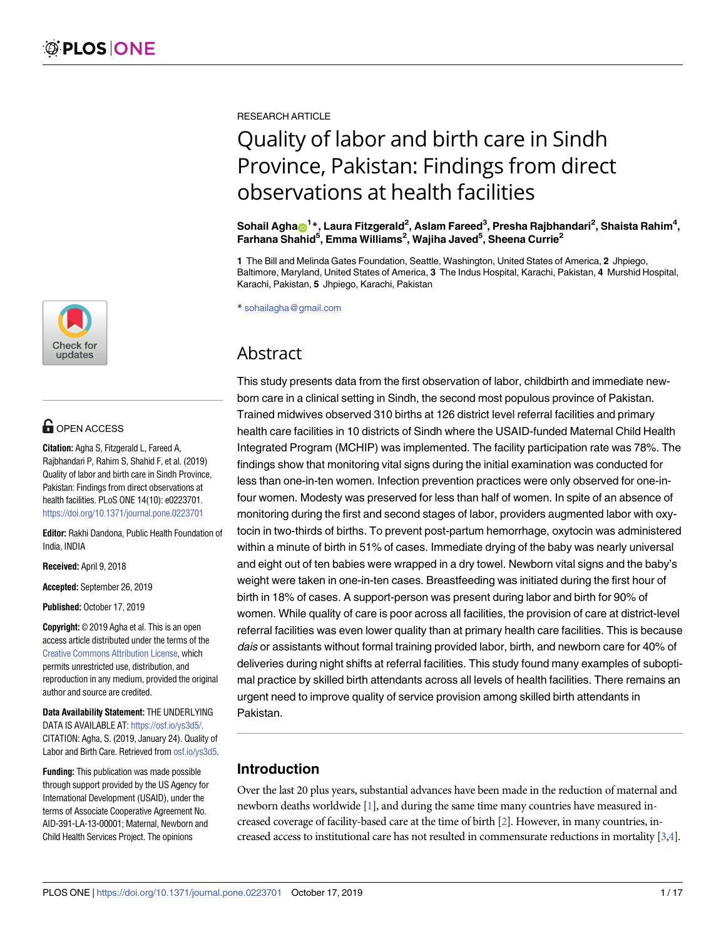

# **G** OPEN ACCESS

**Citation:** Agha S, Fitzgerald L, Fareed A, Rajbhandari P, Rahim S, Shahid F, et al. (2019) Quality of labor and birth care in Sindh Province, Pakistan: Findings from direct observations at health facilities. PLoS ONE 14(10): e0223701. <https://doi.org/10.1371/journal.pone.0223701>

**Editor:** Rakhi Dandona, Public Health Foundation of India, INDIA

**Received:** April 9, 2018

**Accepted:** September 26, 2019

**Published:** October 17, 2019

**Copyright:** © 2019 Agha et al. This is an open access article distributed under the terms of the Creative Commons [Attribution](http://creativecommons.org/licenses/by/4.0/) License, which permits unrestricted use, distribution, and reproduction in any medium, provided the original author and source are credited.

**Data Availability Statement:** THE UNDERLYING DATA IS AVAILABLE AT: [https://osf.io/ys3d5/.](https://osf.io/ys3d5/) CITATION: Agha, S. (2019, January 24). Quality of Labor and Birth Care. Retrieved from [osf.io/ys3d5.](http://osf.io/ys3d5)

**Funding:** This publication was made possible through support provided by the US Agency for International Development (USAID), under the terms of Associate Cooperative Agreement No. AID-391-LA-13-00001; Maternal, Newborn and Child Health Services Project. The opinions

<span id="page-0-0"></span>RESEARCH ARTICLE

# Quality of labor and birth care in Sindh Province, Pakistan: Findings from direct observations at health facilities

 $\delta$ Sohail Agha $\textbf{D}^\text{1*}$ , Laura Fitzgerald<sup>2</sup>, Aslam Fareed $^3$ , Presha Rajbhandari $^2$ , Shaista Rahim $^4$ , **Farhana Shahid5 , Emma Williams2 , Wajiha Javed5 , Sheena Currie2**

**1** The Bill and Melinda Gates Foundation, Seattle, Washington, United States of America, **2** Jhpiego, Baltimore, Maryland, United States of America, **3** The Indus Hospital, Karachi, Pakistan, **4** Murshid Hospital, Karachi, Pakistan, **5** Jhpiego, Karachi, Pakistan

\* sohailagha@gmail.com

## Abstract

This study presents data from the first observation of labor, childbirth and immediate newborn care in a clinical setting in Sindh, the second most populous province of Pakistan. Trained midwives observed 310 births at 126 district level referral facilities and primary health care facilities in 10 districts of Sindh where the USAID-funded Maternal Child Health Integrated Program (MCHIP) was implemented. The facility participation rate was 78%. The findings show that monitoring vital signs during the initial examination was conducted for less than one-in-ten women. Infection prevention practices were only observed for one-infour women. Modesty was preserved for less than half of women. In spite of an absence of monitoring during the first and second stages of labor, providers augmented labor with oxytocin in two-thirds of births. To prevent post-partum hemorrhage, oxytocin was administered within a minute of birth in 51% of cases. Immediate drying of the baby was nearly universal and eight out of ten babies were wrapped in a dry towel. Newborn vital signs and the baby's weight were taken in one-in-ten cases. Breastfeeding was initiated during the first hour of birth in 18% of cases. A support-person was present during labor and birth for 90% of women. While quality of care is poor across all facilities, the provision of care at district-level referral facilities was even lower quality than at primary health care facilities. This is because dais or assistants without formal training provided labor, birth, and newborn care for 40% of deliveries during night shifts at referral facilities. This study found many examples of suboptimal practice by skilled birth attendants across all levels of health facilities. There remains an urgent need to improve quality of service provision among skilled birth attendants in Pakistan.

### **Introduction**

Over the last 20 plus years, substantial advances have been made in the reduction of maternal and newborn deaths worldwide [[1](#page-14-0)], and during the same time many countries have measured increased coverage of facility-based care at the time of birth [\[2\]](#page-14-0). However, in many countries, increased access to institutional care has not resulted in commensurate reductions in mortality [[3,4\]](#page-14-0).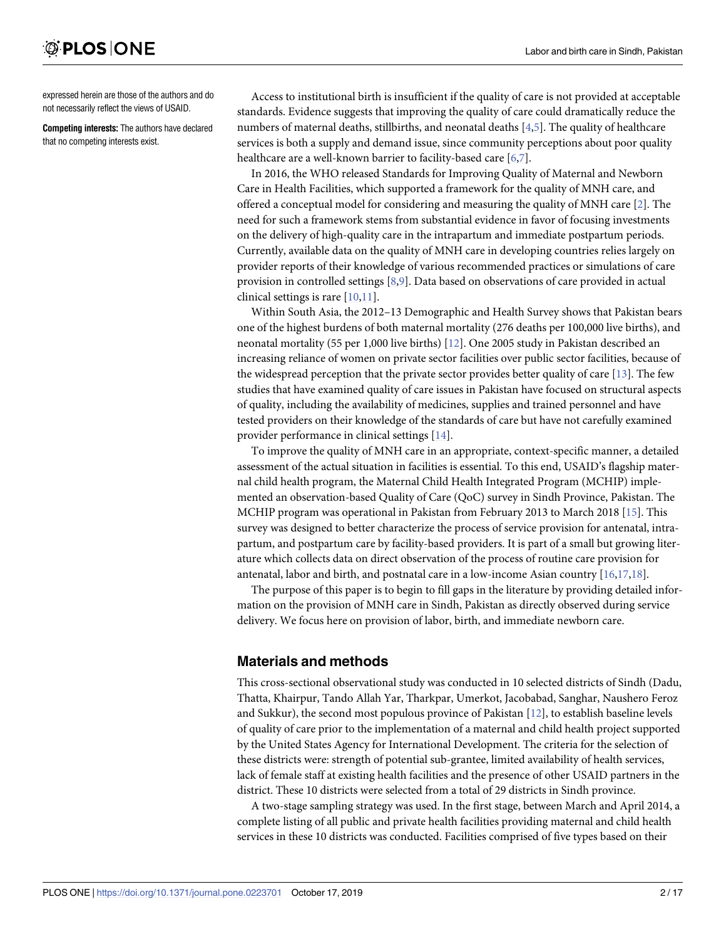<span id="page-1-0"></span>expressed herein are those of the authors and do not necessarily reflect the views of USAID.

**Competing interests:** The authors have declared that no competing interests exist.

Access to institutional birth is insufficient if the quality of care is not provided at acceptable standards. Evidence suggests that improving the quality of care could dramatically reduce the numbers of maternal deaths, stillbirths, and neonatal deaths [\[4,5](#page-14-0)]. The quality of healthcare services is both a supply and demand issue, since community perceptions about poor quality healthcare are a well-known barrier to facility-based care [[6,7\]](#page-14-0).

In 2016, the WHO released Standards for Improving Quality of Maternal and Newborn Care in Health Facilities, which supported a framework for the quality of MNH care, and offered a conceptual model for considering and measuring the quality of MNH care [[2](#page-14-0)]. The need for such a framework stems from substantial evidence in favor of focusing investments on the delivery of high-quality care in the intrapartum and immediate postpartum periods. Currently, available data on the quality of MNH care in developing countries relies largely on provider reports of their knowledge of various recommended practices or simulations of care provision in controlled settings [[8](#page-14-0),[9](#page-14-0)]. Data based on observations of care provided in actual clinical settings is rare  $[10,11]$  $[10,11]$ .

Within South Asia, the 2012–13 Demographic and Health Survey shows that Pakistan bears one of the highest burdens of both maternal mortality (276 deaths per 100,000 live births), and neonatal mortality (55 per 1,000 live births) [\[12\]](#page-15-0). One 2005 study in Pakistan described an increasing reliance of women on private sector facilities over public sector facilities, because of the widespread perception that the private sector provides better quality of care [[13](#page-15-0)]. The few studies that have examined quality of care issues in Pakistan have focused on structural aspects of quality, including the availability of medicines, supplies and trained personnel and have tested providers on their knowledge of the standards of care but have not carefully examined provider performance in clinical settings [\[14\]](#page-15-0).

To improve the quality of MNH care in an appropriate, context-specific manner, a detailed assessment of the actual situation in facilities is essential. To this end, USAID's flagship maternal child health program, the Maternal Child Health Integrated Program (MCHIP) implemented an observation-based Quality of Care (QoC) survey in Sindh Province, Pakistan. The MCHIP program was operational in Pakistan from February 2013 to March 2018 [\[15\]](#page-15-0). This survey was designed to better characterize the process of service provision for antenatal, intrapartum, and postpartum care by facility-based providers. It is part of a small but growing literature which collects data on direct observation of the process of routine care provision for antenatal, labor and birth, and postnatal care in a low-income Asian country [\[16,17](#page-15-0),[18](#page-15-0)].

The purpose of this paper is to begin to fill gaps in the literature by providing detailed information on the provision of MNH care in Sindh, Pakistan as directly observed during service delivery. We focus here on provision of labor, birth, and immediate newborn care.

### **Materials and methods**

This cross-sectional observational study was conducted in 10 selected districts of Sindh (Dadu, Thatta, Khairpur, Tando Allah Yar, Tharkpar, Umerkot, Jacobabad, Sanghar, Naushero Feroz and Sukkur), the second most populous province of Pakistan [\[12\]](#page-15-0), to establish baseline levels of quality of care prior to the implementation of a maternal and child health project supported by the United States Agency for International Development. The criteria for the selection of these districts were: strength of potential sub-grantee, limited availability of health services, lack of female staff at existing health facilities and the presence of other USAID partners in the district. These 10 districts were selected from a total of 29 districts in Sindh province.

A two-stage sampling strategy was used. In the first stage, between March and April 2014, a complete listing of all public and private health facilities providing maternal and child health services in these 10 districts was conducted. Facilities comprised of five types based on their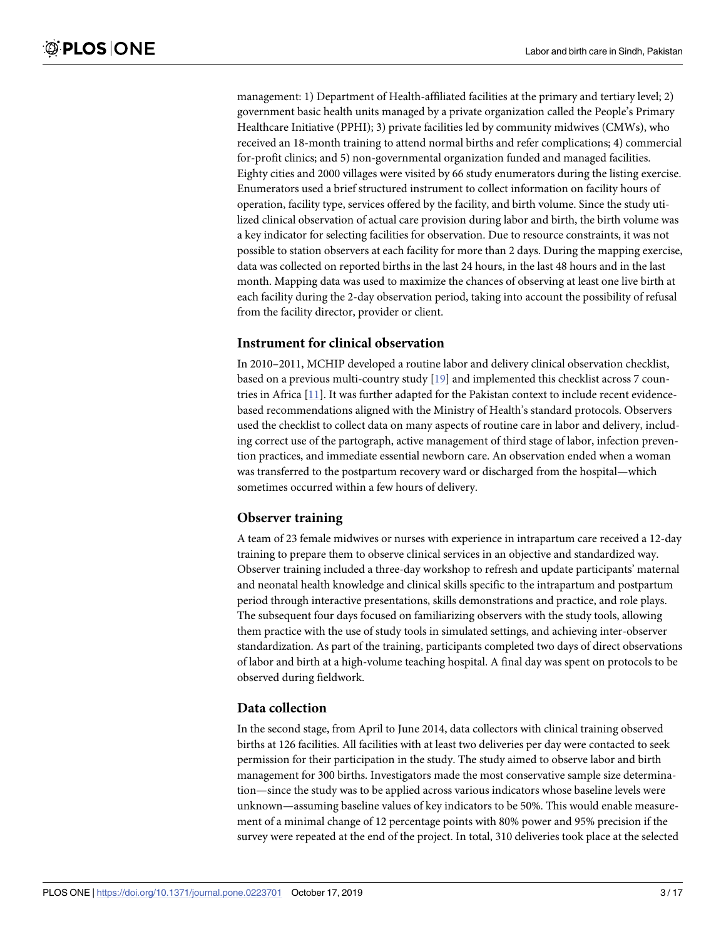<span id="page-2-0"></span>management: 1) Department of Health-affiliated facilities at the primary and tertiary level; 2) government basic health units managed by a private organization called the People's Primary Healthcare Initiative (PPHI); 3) private facilities led by community midwives (CMWs), who received an 18-month training to attend normal births and refer complications; 4) commercial for-profit clinics; and 5) non-governmental organization funded and managed facilities. Eighty cities and 2000 villages were visited by 66 study enumerators during the listing exercise. Enumerators used a brief structured instrument to collect information on facility hours of operation, facility type, services offered by the facility, and birth volume. Since the study utilized clinical observation of actual care provision during labor and birth, the birth volume was a key indicator for selecting facilities for observation. Due to resource constraints, it was not possible to station observers at each facility for more than 2 days. During the mapping exercise, data was collected on reported births in the last 24 hours, in the last 48 hours and in the last month. Mapping data was used to maximize the chances of observing at least one live birth at each facility during the 2-day observation period, taking into account the possibility of refusal from the facility director, provider or client.

### **Instrument for clinical observation**

In 2010–2011, MCHIP developed a routine labor and delivery clinical observation checklist, based on a previous multi-country study [\[19\]](#page-15-0) and implemented this checklist across 7 countries in Africa [\[11\]](#page-15-0). It was further adapted for the Pakistan context to include recent evidencebased recommendations aligned with the Ministry of Health's standard protocols. Observers used the checklist to collect data on many aspects of routine care in labor and delivery, including correct use of the partograph, active management of third stage of labor, infection prevention practices, and immediate essential newborn care. An observation ended when a woman was transferred to the postpartum recovery ward or discharged from the hospital—which sometimes occurred within a few hours of delivery.

### **Observer training**

A team of 23 female midwives or nurses with experience in intrapartum care received a 12-day training to prepare them to observe clinical services in an objective and standardized way. Observer training included a three-day workshop to refresh and update participants' maternal and neonatal health knowledge and clinical skills specific to the intrapartum and postpartum period through interactive presentations, skills demonstrations and practice, and role plays. The subsequent four days focused on familiarizing observers with the study tools, allowing them practice with the use of study tools in simulated settings, and achieving inter-observer standardization. As part of the training, participants completed two days of direct observations of labor and birth at a high-volume teaching hospital. A final day was spent on protocols to be observed during fieldwork.

### **Data collection**

In the second stage, from April to June 2014, data collectors with clinical training observed births at 126 facilities. All facilities with at least two deliveries per day were contacted to seek permission for their participation in the study. The study aimed to observe labor and birth management for 300 births. Investigators made the most conservative sample size determination—since the study was to be applied across various indicators whose baseline levels were unknown—assuming baseline values of key indicators to be 50%. This would enable measurement of a minimal change of 12 percentage points with 80% power and 95% precision if the survey were repeated at the end of the project. In total, 310 deliveries took place at the selected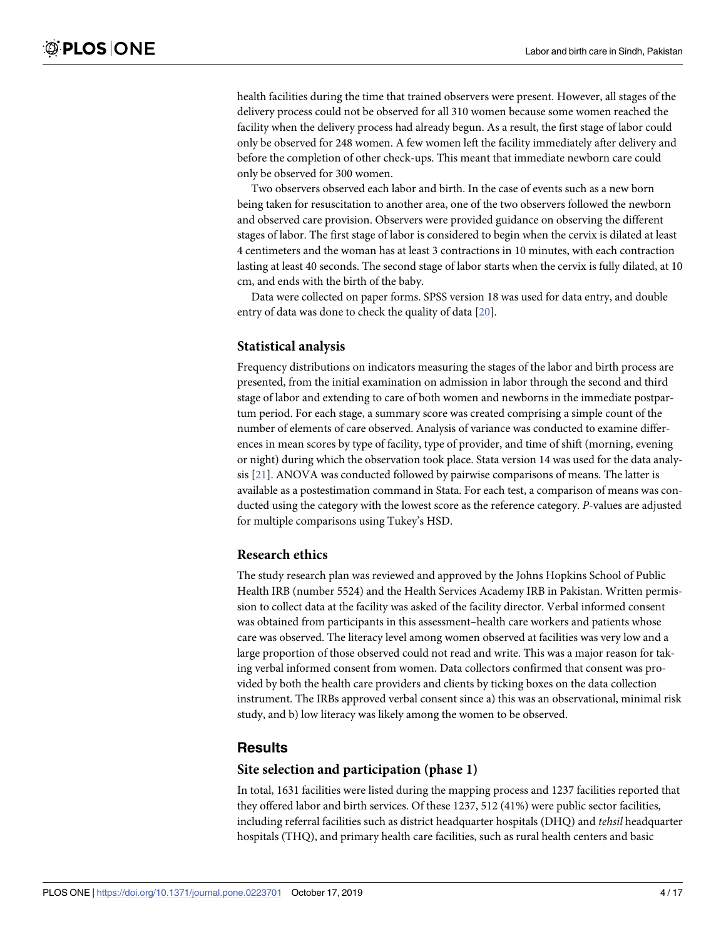<span id="page-3-0"></span>health facilities during the time that trained observers were present. However, all stages of the delivery process could not be observed for all 310 women because some women reached the facility when the delivery process had already begun. As a result, the first stage of labor could only be observed for 248 women. A few women left the facility immediately after delivery and before the completion of other check-ups. This meant that immediate newborn care could only be observed for 300 women.

Two observers observed each labor and birth. In the case of events such as a new born being taken for resuscitation to another area, one of the two observers followed the newborn and observed care provision. Observers were provided guidance on observing the different stages of labor. The first stage of labor is considered to begin when the cervix is dilated at least 4 centimeters and the woman has at least 3 contractions in 10 minutes, with each contraction lasting at least 40 seconds. The second stage of labor starts when the cervix is fully dilated, at 10 cm, and ends with the birth of the baby.

Data were collected on paper forms. SPSS version 18 was used for data entry, and double entry of data was done to check the quality of data [\[20\]](#page-15-0).

### **Statistical analysis**

Frequency distributions on indicators measuring the stages of the labor and birth process are presented, from the initial examination on admission in labor through the second and third stage of labor and extending to care of both women and newborns in the immediate postpartum period. For each stage, a summary score was created comprising a simple count of the number of elements of care observed. Analysis of variance was conducted to examine differences in mean scores by type of facility, type of provider, and time of shift (morning, evening or night) during which the observation took place. Stata version 14 was used for the data analysis [\[21\]](#page-15-0). ANOVA was conducted followed by pairwise comparisons of means. The latter is available as a postestimation command in Stata. For each test, a comparison of means was conducted using the category with the lowest score as the reference category. *P*-values are adjusted for multiple comparisons using Tukey's HSD.

### **Research ethics**

The study research plan was reviewed and approved by the Johns Hopkins School of Public Health IRB (number 5524) and the Health Services Academy IRB in Pakistan. Written permission to collect data at the facility was asked of the facility director. Verbal informed consent was obtained from participants in this assessment–health care workers and patients whose care was observed. The literacy level among women observed at facilities was very low and a large proportion of those observed could not read and write. This was a major reason for taking verbal informed consent from women. Data collectors confirmed that consent was provided by both the health care providers and clients by ticking boxes on the data collection instrument. The IRBs approved verbal consent since a) this was an observational, minimal risk study, and b) low literacy was likely among the women to be observed.

### **Results**

### **Site selection and participation (phase 1)**

In total, 1631 facilities were listed during the mapping process and 1237 facilities reported that they offered labor and birth services. Of these 1237, 512 (41%) were public sector facilities, including referral facilities such as district headquarter hospitals (DHQ) and *tehsil* headquarter hospitals (THQ), and primary health care facilities, such as rural health centers and basic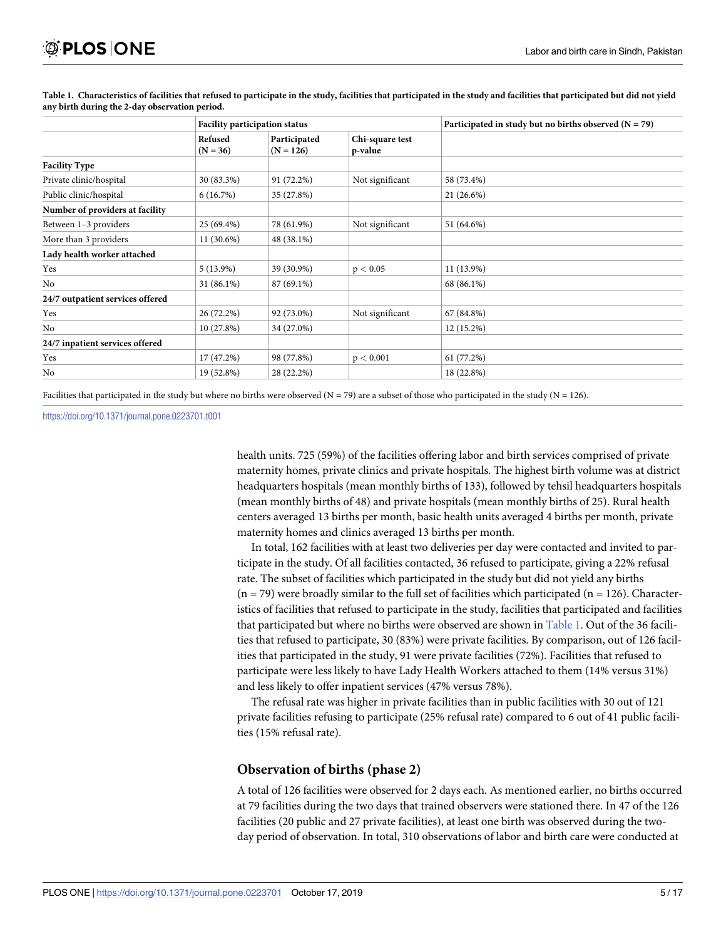|                                  | <b>Facility participation status</b> |                             |                            | Participated in study but no births observed $(N = 79)$ |
|----------------------------------|--------------------------------------|-----------------------------|----------------------------|---------------------------------------------------------|
|                                  | Refused<br>$(N = 36)$                | Participated<br>$(N = 126)$ | Chi-square test<br>p-value |                                                         |
| <b>Facility Type</b>             |                                      |                             |                            |                                                         |
| Private clinic/hospital          | 30 (83.3%)                           | 91 (72.2%)                  | Not significant            | 58 (73.4%)                                              |
| Public clinic/hospital           | 6(16.7%)                             | 35 (27.8%)                  |                            | $21(26.6\%)$                                            |
| Number of providers at facility  |                                      |                             |                            |                                                         |
| Between 1-3 providers            | 25 (69.4%)                           | 78 (61.9%)                  | Not significant            | 51 (64.6%)                                              |
| More than 3 providers            | 11 (30.6%)                           | 48 (38.1%)                  |                            |                                                         |
| Lady health worker attached      |                                      |                             |                            |                                                         |
| Yes                              | $5(13.9\%)$                          | 39 (30.9%)                  | p < 0.05                   | $11(13.9\%)$                                            |
| No                               | 31 (86.1%)                           | 87 (69.1%)                  |                            | 68 (86.1%)                                              |
| 24/7 outpatient services offered |                                      |                             |                            |                                                         |
| Yes                              | 26 (72.2%)                           | 92 (73.0%)                  | Not significant            | 67 (84.8%)                                              |
| No                               | 10 (27.8%)                           | 34 (27.0%)                  |                            | 12 (15.2%)                                              |
| 24/7 inpatient services offered  |                                      |                             |                            |                                                         |
| Yes                              | 17 (47.2%)                           | 98 (77.8%)                  | p < 0.001                  | 61(77.2%)                                               |
| No                               | 19 (52.8%)                           | 28 (22.2%)                  |                            | 18 (22.8%)                                              |

Table 1. Characteristics of facilities that refused to participate in the study, facilities that participated in the study and facilities that participated but did not yield **any birth during the 2-day observation period.**

Facilities that participated in the study but where no births were observed ( $N = 79$ ) are a subset of those who participated in the study ( $N = 126$ ).

<https://doi.org/10.1371/journal.pone.0223701.t001>

health units. 725 (59%) of the facilities offering labor and birth services comprised of private maternity homes, private clinics and private hospitals. The highest birth volume was at district headquarters hospitals (mean monthly births of 133), followed by tehsil headquarters hospitals (mean monthly births of 48) and private hospitals (mean monthly births of 25). Rural health centers averaged 13 births per month, basic health units averaged 4 births per month, private maternity homes and clinics averaged 13 births per month.

In total, 162 facilities with at least two deliveries per day were contacted and invited to participate in the study. Of all facilities contacted, 36 refused to participate, giving a 22% refusal rate. The subset of facilities which participated in the study but did not yield any births  $(n = 79)$  were broadly similar to the full set of facilities which participated  $(n = 126)$ . Characteristics of facilities that refused to participate in the study, facilities that participated and facilities that participated but where no births were observed are shown in Table 1. Out of the 36 facilities that refused to participate, 30 (83%) were private facilities. By comparison, out of 126 facilities that participated in the study, 91 were private facilities (72%). Facilities that refused to participate were less likely to have Lady Health Workers attached to them (14% versus 31%) and less likely to offer inpatient services (47% versus 78%).

The refusal rate was higher in private facilities than in public facilities with 30 out of 121 private facilities refusing to participate (25% refusal rate) compared to 6 out of 41 public facilities (15% refusal rate).

### **Observation of births (phase 2)**

A total of 126 facilities were observed for 2 days each. As mentioned earlier, no births occurred at 79 facilities during the two days that trained observers were stationed there. In 47 of the 126 facilities (20 public and 27 private facilities), at least one birth was observed during the twoday period of observation. In total, 310 observations of labor and birth care were conducted at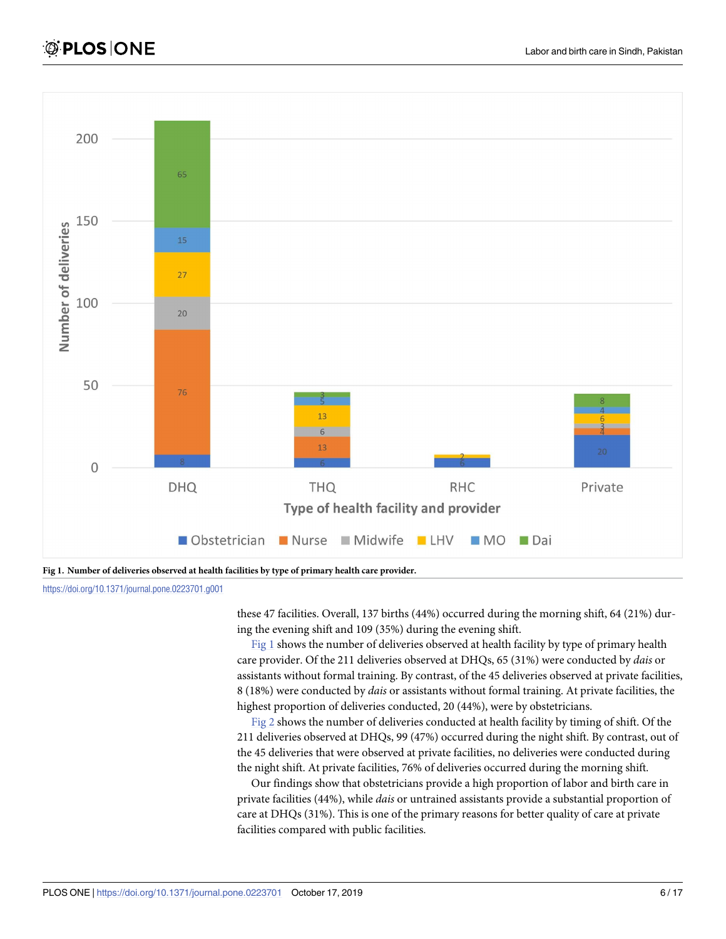<span id="page-5-0"></span>

**Fig 1. Number of deliveries observed at health facilities by type of primary health care provider.**

<https://doi.org/10.1371/journal.pone.0223701.g001>

these 47 facilities. Overall, 137 births (44%) occurred during the morning shift, 64 (21%) during the evening shift and 109 (35%) during the evening shift.

Fig 1 shows the number of deliveries observed at health facility by type of primary health care provider. Of the 211 deliveries observed at DHQs, 65 (31%) were conducted by *dais* or assistants without formal training. By contrast, of the 45 deliveries observed at private facilities, 8 (18%) were conducted by *dais* or assistants without formal training. At private facilities, the highest proportion of deliveries conducted, 20 (44%), were by obstetricians.

[Fig](#page-6-0) 2 shows the number of deliveries conducted at health facility by timing of shift. Of the 211 deliveries observed at DHQs, 99 (47%) occurred during the night shift. By contrast, out of the 45 deliveries that were observed at private facilities, no deliveries were conducted during the night shift. At private facilities, 76% of deliveries occurred during the morning shift.

Our findings show that obstetricians provide a high proportion of labor and birth care in private facilities (44%), while *dais* or untrained assistants provide a substantial proportion of care at DHQs (31%). This is one of the primary reasons for better quality of care at private facilities compared with public facilities.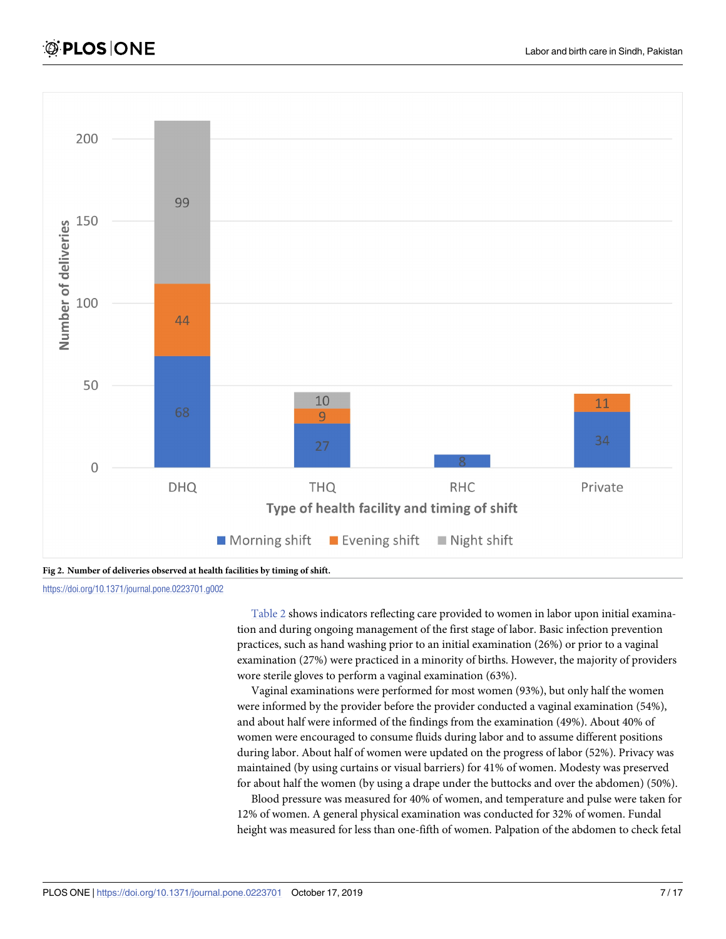<span id="page-6-0"></span>



<https://doi.org/10.1371/journal.pone.0223701.g002>

[Table](#page-7-0) 2 shows indicators reflecting care provided to women in labor upon initial examination and during ongoing management of the first stage of labor. Basic infection prevention practices, such as hand washing prior to an initial examination (26%) or prior to a vaginal examination (27%) were practiced in a minority of births. However, the majority of providers wore sterile gloves to perform a vaginal examination (63%).

Vaginal examinations were performed for most women (93%), but only half the women were informed by the provider before the provider conducted a vaginal examination (54%), and about half were informed of the findings from the examination (49%). About 40% of women were encouraged to consume fluids during labor and to assume different positions during labor. About half of women were updated on the progress of labor (52%). Privacy was maintained (by using curtains or visual barriers) for 41% of women. Modesty was preserved for about half the women (by using a drape under the buttocks and over the abdomen) (50%).

Blood pressure was measured for 40% of women, and temperature and pulse were taken for 12% of women. A general physical examination was conducted for 32% of women. Fundal height was measured for less than one-fifth of women. Palpation of the abdomen to check fetal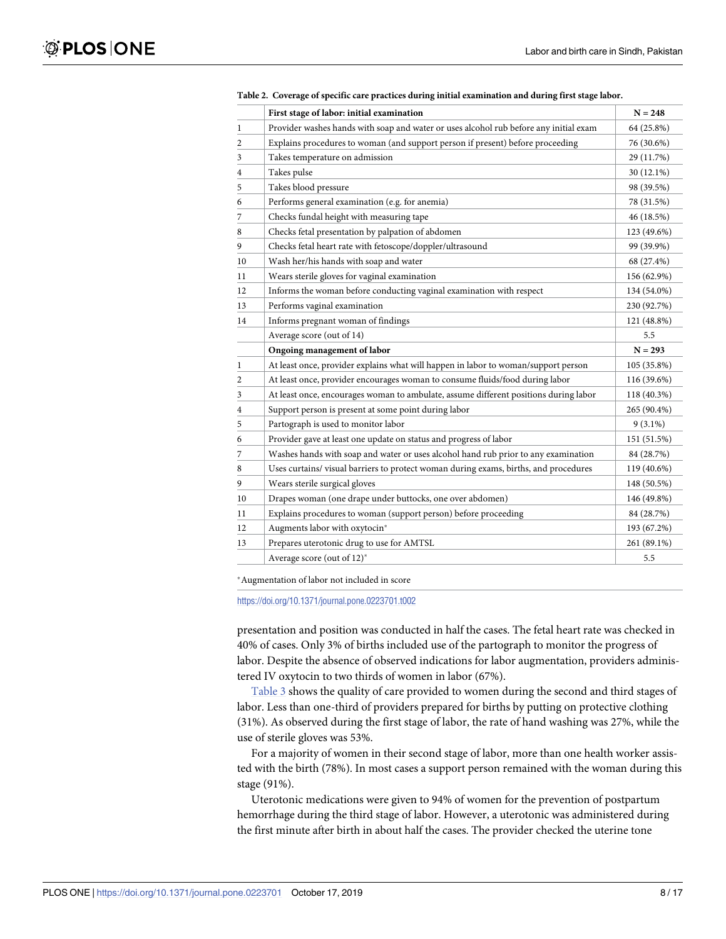<span id="page-7-0"></span>

|                | First stage of labor: initial examination                                             | $N = 248$   |
|----------------|---------------------------------------------------------------------------------------|-------------|
| 1              | Provider washes hands with soap and water or uses alcohol rub before any initial exam | 64 (25.8%)  |
| $\overline{c}$ | Explains procedures to woman (and support person if present) before proceeding        | 76 (30.6%)  |
| 3              | Takes temperature on admission                                                        | 29 (11.7%)  |
| $\overline{4}$ | Takes pulse                                                                           | 30 (12.1%)  |
| 5              | Takes blood pressure                                                                  | 98 (39.5%)  |
| 6              | Performs general examination (e.g. for anemia)                                        | 78 (31.5%)  |
| 7              | Checks fundal height with measuring tape                                              | 46 (18.5%)  |
| 8              | Checks fetal presentation by palpation of abdomen                                     | 123 (49.6%) |
| 9              | Checks fetal heart rate with fetoscope/doppler/ultrasound                             | 99 (39.9%)  |
| 10             | Wash her/his hands with soap and water                                                | 68 (27.4%)  |
| 11             | Wears sterile gloves for vaginal examination                                          | 156 (62.9%) |
| 12             | Informs the woman before conducting vaginal examination with respect                  | 134 (54.0%) |
| 13             | Performs vaginal examination                                                          | 230 (92.7%) |
| 14             | Informs pregnant woman of findings                                                    | 121 (48.8%) |
|                | Average score (out of 14)                                                             | 5.5         |
|                | Ongoing management of labor                                                           | $N = 293$   |
| $\mathbf{1}$   | At least once, provider explains what will happen in labor to woman/support person    | 105 (35.8%) |
| $\mathbf{2}$   | At least once, provider encourages woman to consume fluids/food during labor          | 116 (39.6%) |
| 3              | At least once, encourages woman to ambulate, assume different positions during labor  | 118 (40.3%) |
| 4              | Support person is present at some point during labor                                  | 265 (90.4%) |
| 5              | Partograph is used to monitor labor                                                   | $9(3.1\%)$  |
| 6              | Provider gave at least one update on status and progress of labor                     | 151 (51.5%) |
| 7              | Washes hands with soap and water or uses alcohol hand rub prior to any examination    | 84 (28.7%)  |
| 8              | Uses curtains/ visual barriers to protect woman during exams, births, and procedures  | 119 (40.6%) |
| 9              | Wears sterile surgical gloves                                                         | 148 (50.5%) |
| 10             | Drapes woman (one drape under buttocks, one over abdomen)                             | 146 (49.8%) |
| 11             | Explains procedures to woman (support person) before proceeding                       | 84 (28.7%)  |
| 12             | Augments labor with oxytocin*                                                         | 193 (67.2%) |
| 13             | Prepares uterotonic drug to use for AMTSL                                             | 261 (89.1%) |
|                | Average score (out of 12)*                                                            | 5.5         |

**[Table](#page-6-0) 2. Coverage of specific care practices during initial examination and during first stage labor.**

�Augmentation of labor not included in score

<https://doi.org/10.1371/journal.pone.0223701.t002>

presentation and position was conducted in half the cases. The fetal heart rate was checked in 40% of cases. Only 3% of births included use of the partograph to monitor the progress of labor. Despite the absence of observed indications for labor augmentation, providers administered IV oxytocin to two thirds of women in labor (67%).

[Table](#page-8-0) 3 shows the quality of care provided to women during the second and third stages of labor. Less than one-third of providers prepared for births by putting on protective clothing (31%). As observed during the first stage of labor, the rate of hand washing was 27%, while the use of sterile gloves was 53%.

For a majority of women in their second stage of labor, more than one health worker assisted with the birth (78%). In most cases a support person remained with the woman during this stage (91%).

Uterotonic medications were given to 94% of women for the prevention of postpartum hemorrhage during the third stage of labor. However, a uterotonic was administered during the first minute after birth in about half the cases. The provider checked the uterine tone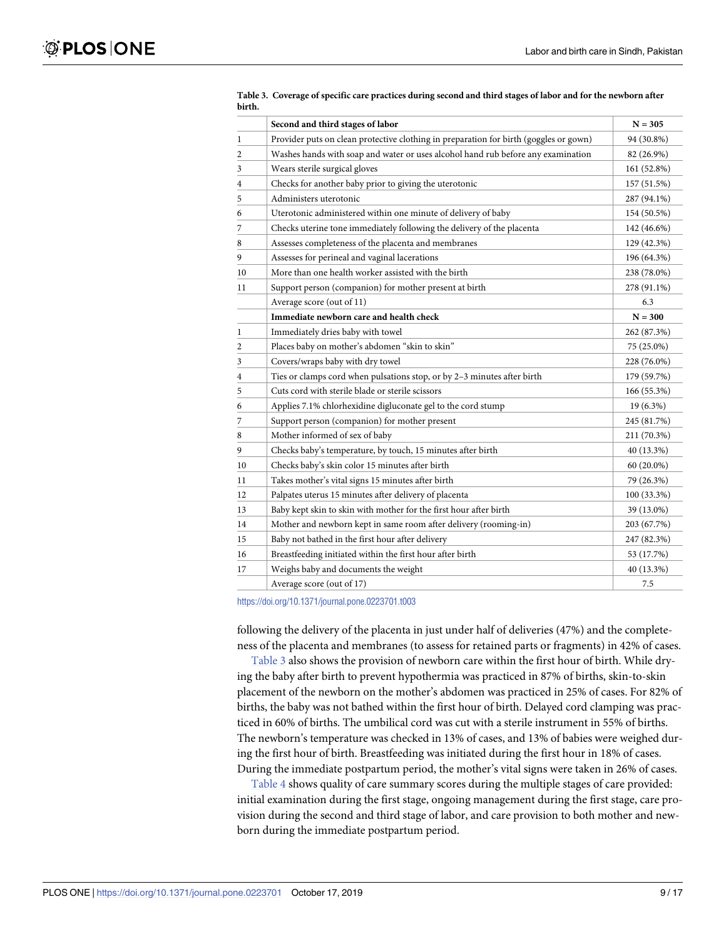|    | Second and third stages of labor                                                      | $N = 305$    |
|----|---------------------------------------------------------------------------------------|--------------|
| 1  | Provider puts on clean protective clothing in preparation for birth (goggles or gown) | 94 (30.8%)   |
| 2  | Washes hands with soap and water or uses alcohol hand rub before any examination      | 82 (26.9%)   |
| 3  | Wears sterile surgical gloves                                                         | 161 (52.8%)  |
| 4  | Checks for another baby prior to giving the uterotonic                                | 157 (51.5%)  |
| 5  | Administers uterotonic                                                                | 287 (94.1%)  |
| 6  | Uterotonic administered within one minute of delivery of baby                         | 154 (50.5%)  |
| 7  | Checks uterine tone immediately following the delivery of the placenta                | 142 (46.6%)  |
| 8  | Assesses completeness of the placenta and membranes                                   | 129 (42.3%)  |
| 9  | Assesses for perineal and vaginal lacerations                                         | 196 (64.3%)  |
| 10 | More than one health worker assisted with the birth                                   | 238 (78.0%)  |
| 11 | Support person (companion) for mother present at birth                                | 278 (91.1%)  |
|    | Average score (out of 11)                                                             | 6.3          |
|    | Immediate newborn care and health check                                               | $N = 300$    |
| 1  | Immediately dries baby with towel                                                     | 262 (87.3%)  |
| 2  | Places baby on mother's abdomen "skin to skin"                                        | 75 (25.0%)   |
| 3  | Covers/wraps baby with dry towel                                                      | 228 (76.0%)  |
| 4  | Ties or clamps cord when pulsations stop, or by 2-3 minutes after birth               | 179 (59.7%)  |
| 5  | Cuts cord with sterile blade or sterile scissors                                      | 166 (55.3%)  |
| 6  | Applies 7.1% chlorhexidine digluconate gel to the cord stump                          | 19 (6.3%)    |
| 7  | Support person (companion) for mother present                                         | 245 (81.7%)  |
| 8  | Mother informed of sex of baby                                                        | 211 (70.3%)  |
| 9  | Checks baby's temperature, by touch, 15 minutes after birth                           | 40 (13.3%)   |
| 10 | Checks baby's skin color 15 minutes after birth                                       | $60(20.0\%)$ |
| 11 | Takes mother's vital signs 15 minutes after birth                                     | 79 (26.3%)   |
| 12 | Palpates uterus 15 minutes after delivery of placenta                                 | 100 (33.3%)  |
| 13 | Baby kept skin to skin with mother for the first hour after birth                     | 39 (13.0%)   |
| 14 | Mother and newborn kept in same room after delivery (rooming-in)                      | 203 (67.7%)  |
| 15 | Baby not bathed in the first hour after delivery                                      | 247 (82.3%)  |
| 16 | Breastfeeding initiated within the first hour after birth                             | 53 (17.7%)   |
| 17 | Weighs baby and documents the weight                                                  | 40 (13.3%)   |
|    | Average score (out of 17)                                                             | 7.5          |

<span id="page-8-0"></span>[Table](#page-7-0) 3. Coverage of specific care practices during second and third stages of labor and for the newborn after **birth.**

<https://doi.org/10.1371/journal.pone.0223701.t003>

following the delivery of the placenta in just under half of deliveries (47%) and the completeness of the placenta and membranes (to assess for retained parts or fragments) in 42% of cases.

Table 3 also shows the provision of newborn care within the first hour of birth. While drying the baby after birth to prevent hypothermia was practiced in 87% of births, skin-to-skin placement of the newborn on the mother's abdomen was practiced in 25% of cases. For 82% of births, the baby was not bathed within the first hour of birth. Delayed cord clamping was practiced in 60% of births. The umbilical cord was cut with a sterile instrument in 55% of births. The newborn's temperature was checked in 13% of cases, and 13% of babies were weighed during the first hour of birth. Breastfeeding was initiated during the first hour in 18% of cases. During the immediate postpartum period, the mother's vital signs were taken in 26% of cases.

[Table](#page-9-0) 4 shows quality of care summary scores during the multiple stages of care provided: initial examination during the first stage, ongoing management during the first stage, care provision during the second and third stage of labor, and care provision to both mother and newborn during the immediate postpartum period.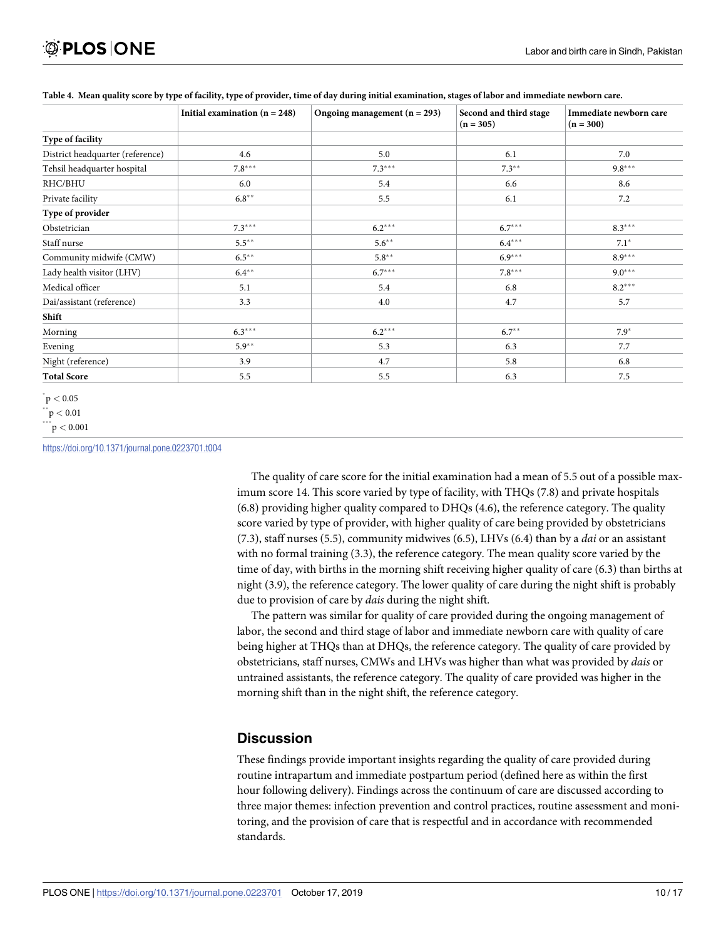|                                  | Initial examination $(n = 248)$ | Ongoing management $(n = 293)$ | Second and third stage<br>$(n = 305)$ | Immediate newborn care<br>$(n = 300)$ |
|----------------------------------|---------------------------------|--------------------------------|---------------------------------------|---------------------------------------|
| Type of facility                 |                                 |                                |                                       |                                       |
| District headquarter (reference) | 4.6                             |                                | 6.1                                   | 7.0                                   |
| Tehsil headquarter hospital      | $7.8***$                        | $7.3***$                       | $7.3***$                              | $9.8***$                              |
| RHC/BHU                          | 6.0                             | 5.4                            | 6.6                                   | 8.6                                   |
| Private facility                 | $6.8***$                        | 5.5                            | 6.1                                   | 7.2                                   |
| Type of provider                 |                                 |                                |                                       |                                       |
| Obstetrician                     | $7.3***$                        | $6.2***$                       | $6.7***$                              | $8.3***$                              |
| Staff nurse                      | $5.5***$                        | $5.6***$                       | $6.4***$                              | $7.1*$                                |
| Community midwife (CMW)          | $6.5***$                        | $5.8***$                       | $6.9***$                              | $8.9***$                              |
| Lady health visitor (LHV)        | $6.4***$                        | $6.7***$                       | $7.8***$                              | $9.0***$                              |
| Medical officer                  | 5.1                             | 5.4                            | 6.8                                   | $8.2***$                              |
| Dai/assistant (reference)        | 3.3                             | 4.0                            | 4.7                                   | 5.7                                   |
| Shift                            |                                 |                                |                                       |                                       |
| $6.3***$<br>Morning              |                                 | $6.2***$                       | $6.7***$                              | $7.9*$                                |
| $5.9***$<br>Evening              |                                 | 5.3                            | 6.3                                   | 7.7                                   |
| Night (reference)<br>3.9         |                                 | 4.7                            | 5.8                                   | 6.8                                   |
| <b>Total Score</b>               | 5.5                             | 5.5                            | 6.3                                   | 7.5                                   |

#### <span id="page-9-0"></span>[Table](#page-8-0) 4. Mean quality score by type of facility, type of provider, time of day during initial examination, stages of labor and immediate newborn care.

 $p < 0.05$  $p < 0.01$ \*\*\*

p *<* 0.001

<https://doi.org/10.1371/journal.pone.0223701.t004>

The quality of care score for the initial examination had a mean of 5.5 out of a possible maximum score 14. This score varied by type of facility, with THQs (7.8) and private hospitals (6.8) providing higher quality compared to DHQs (4.6), the reference category. The quality score varied by type of provider, with higher quality of care being provided by obstetricians (7.3), staff nurses (5.5), community midwives (6.5), LHVs (6.4) than by a *dai* or an assistant with no formal training (3.3), the reference category. The mean quality score varied by the time of day, with births in the morning shift receiving higher quality of care (6.3) than births at night (3.9), the reference category. The lower quality of care during the night shift is probably due to provision of care by *dais* during the night shift.

The pattern was similar for quality of care provided during the ongoing management of labor, the second and third stage of labor and immediate newborn care with quality of care being higher at THQs than at DHQs, the reference category. The quality of care provided by obstetricians, staff nurses, CMWs and LHVs was higher than what was provided by *dais* or untrained assistants, the reference category. The quality of care provided was higher in the morning shift than in the night shift, the reference category.

### **Discussion**

These findings provide important insights regarding the quality of care provided during routine intrapartum and immediate postpartum period (defined here as within the first hour following delivery). Findings across the continuum of care are discussed according to three major themes: infection prevention and control practices, routine assessment and monitoring, and the provision of care that is respectful and in accordance with recommended standards.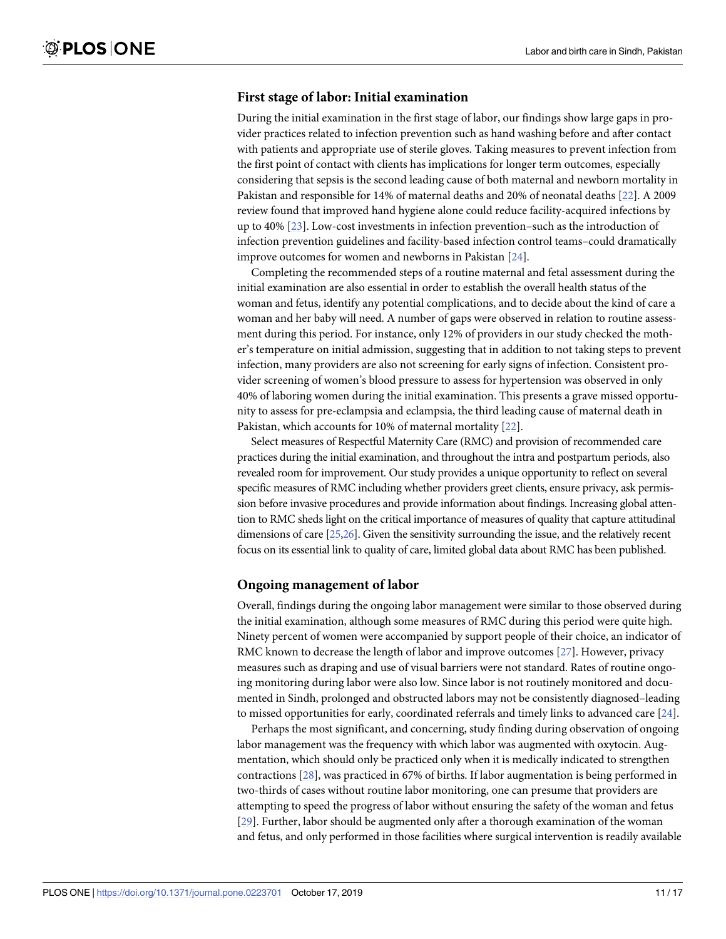### <span id="page-10-0"></span>**First stage of labor: Initial examination**

During the initial examination in the first stage of labor, our findings show large gaps in provider practices related to infection prevention such as hand washing before and after contact with patients and appropriate use of sterile gloves. Taking measures to prevent infection from the first point of contact with clients has implications for longer term outcomes, especially considering that sepsis is the second leading cause of both maternal and newborn mortality in Pakistan and responsible for 14% of maternal deaths and 20% of neonatal deaths [[22](#page-15-0)]. A 2009 review found that improved hand hygiene alone could reduce facility-acquired infections by up to 40% [[23](#page-15-0)]. Low-cost investments in infection prevention–such as the introduction of infection prevention guidelines and facility-based infection control teams–could dramatically improve outcomes for women and newborns in Pakistan [[24](#page-15-0)].

Completing the recommended steps of a routine maternal and fetal assessment during the initial examination are also essential in order to establish the overall health status of the woman and fetus, identify any potential complications, and to decide about the kind of care a woman and her baby will need. A number of gaps were observed in relation to routine assessment during this period. For instance, only 12% of providers in our study checked the mother's temperature on initial admission, suggesting that in addition to not taking steps to prevent infection, many providers are also not screening for early signs of infection. Consistent provider screening of women's blood pressure to assess for hypertension was observed in only 40% of laboring women during the initial examination. This presents a grave missed opportunity to assess for pre-eclampsia and eclampsia, the third leading cause of maternal death in Pakistan, which accounts for 10% of maternal mortality [\[22\]](#page-15-0).

Select measures of Respectful Maternity Care (RMC) and provision of recommended care practices during the initial examination, and throughout the intra and postpartum periods, also revealed room for improvement. Our study provides a unique opportunity to reflect on several specific measures of RMC including whether providers greet clients, ensure privacy, ask permission before invasive procedures and provide information about findings. Increasing global attention to RMC sheds light on the critical importance of measures of quality that capture attitudinal dimensions of care [\[25,26\]](#page-15-0). Given the sensitivity surrounding the issue, and the relatively recent focus on its essential link to quality of care, limited global data about RMC has been published.

### **Ongoing management of labor**

Overall, findings during the ongoing labor management were similar to those observed during the initial examination, although some measures of RMC during this period were quite high. Ninety percent of women were accompanied by support people of their choice, an indicator of RMC known to decrease the length of labor and improve outcomes [[27](#page-15-0)]. However, privacy measures such as draping and use of visual barriers were not standard. Rates of routine ongoing monitoring during labor were also low. Since labor is not routinely monitored and documented in Sindh, prolonged and obstructed labors may not be consistently diagnosed–leading to missed opportunities for early, coordinated referrals and timely links to advanced care [[24](#page-15-0)].

Perhaps the most significant, and concerning, study finding during observation of ongoing labor management was the frequency with which labor was augmented with oxytocin. Augmentation, which should only be practiced only when it is medically indicated to strengthen contractions [\[28\]](#page-15-0), was practiced in 67% of births. If labor augmentation is being performed in two-thirds of cases without routine labor monitoring, one can presume that providers are attempting to speed the progress of labor without ensuring the safety of the woman and fetus [\[29\]](#page-15-0). Further, labor should be augmented only after a thorough examination of the woman and fetus, and only performed in those facilities where surgical intervention is readily available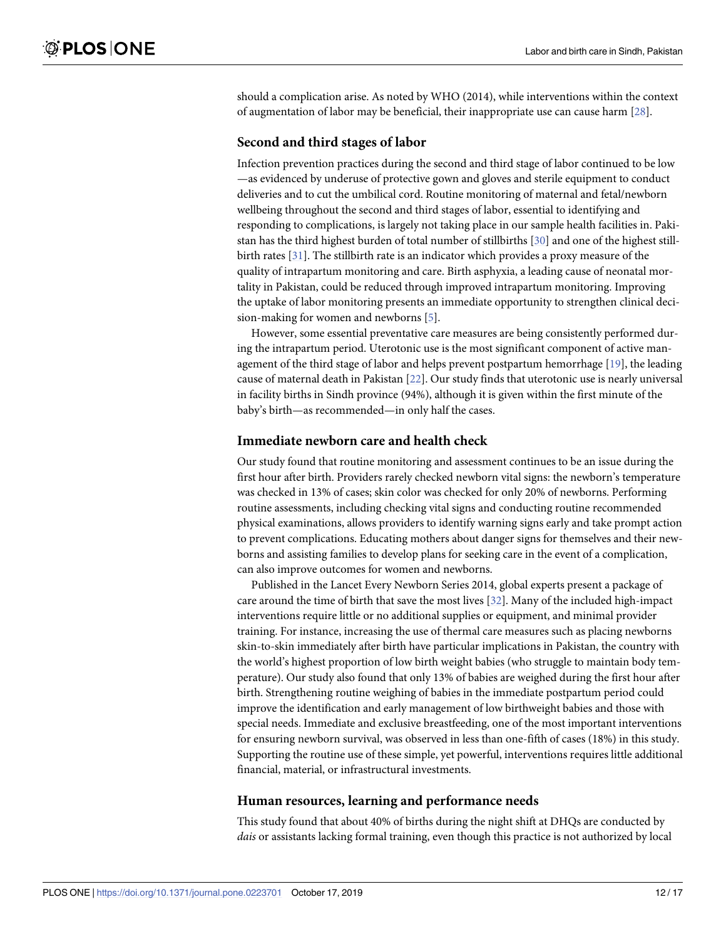<span id="page-11-0"></span>should a complication arise. As noted by WHO (2014), while interventions within the context of augmentation of labor may be beneficial, their inappropriate use can cause harm [\[28\]](#page-15-0).

### **Second and third stages of labor**

Infection prevention practices during the second and third stage of labor continued to be low —as evidenced by underuse of protective gown and gloves and sterile equipment to conduct deliveries and to cut the umbilical cord. Routine monitoring of maternal and fetal/newborn wellbeing throughout the second and third stages of labor, essential to identifying and responding to complications, is largely not taking place in our sample health facilities in. Pakistan has the third highest burden of total number of stillbirths [[30](#page-15-0)] and one of the highest stillbirth rates [\[31\]](#page-15-0). The stillbirth rate is an indicator which provides a proxy measure of the quality of intrapartum monitoring and care. Birth asphyxia, a leading cause of neonatal mortality in Pakistan, could be reduced through improved intrapartum monitoring. Improving the uptake of labor monitoring presents an immediate opportunity to strengthen clinical decision-making for women and newborns [\[5\]](#page-14-0).

However, some essential preventative care measures are being consistently performed during the intrapartum period. Uterotonic use is the most significant component of active management of the third stage of labor and helps prevent postpartum hemorrhage [\[19\]](#page-15-0), the leading cause of maternal death in Pakistan [[22](#page-15-0)]. Our study finds that uterotonic use is nearly universal in facility births in Sindh province (94%), although it is given within the first minute of the baby's birth—as recommended—in only half the cases.

### **Immediate newborn care and health check**

Our study found that routine monitoring and assessment continues to be an issue during the first hour after birth. Providers rarely checked newborn vital signs: the newborn's temperature was checked in 13% of cases; skin color was checked for only 20% of newborns. Performing routine assessments, including checking vital signs and conducting routine recommended physical examinations, allows providers to identify warning signs early and take prompt action to prevent complications. Educating mothers about danger signs for themselves and their newborns and assisting families to develop plans for seeking care in the event of a complication, can also improve outcomes for women and newborns.

Published in the Lancet Every Newborn Series 2014, global experts present a package of care around the time of birth that save the most lives [[32](#page-15-0)]. Many of the included high-impact interventions require little or no additional supplies or equipment, and minimal provider training. For instance, increasing the use of thermal care measures such as placing newborns skin-to-skin immediately after birth have particular implications in Pakistan, the country with the world's highest proportion of low birth weight babies (who struggle to maintain body temperature). Our study also found that only 13% of babies are weighed during the first hour after birth. Strengthening routine weighing of babies in the immediate postpartum period could improve the identification and early management of low birthweight babies and those with special needs. Immediate and exclusive breastfeeding, one of the most important interventions for ensuring newborn survival, was observed in less than one-fifth of cases (18%) in this study. Supporting the routine use of these simple, yet powerful, interventions requires little additional financial, material, or infrastructural investments.

### **Human resources, learning and performance needs**

This study found that about 40% of births during the night shift at DHQs are conducted by *dais* or assistants lacking formal training, even though this practice is not authorized by local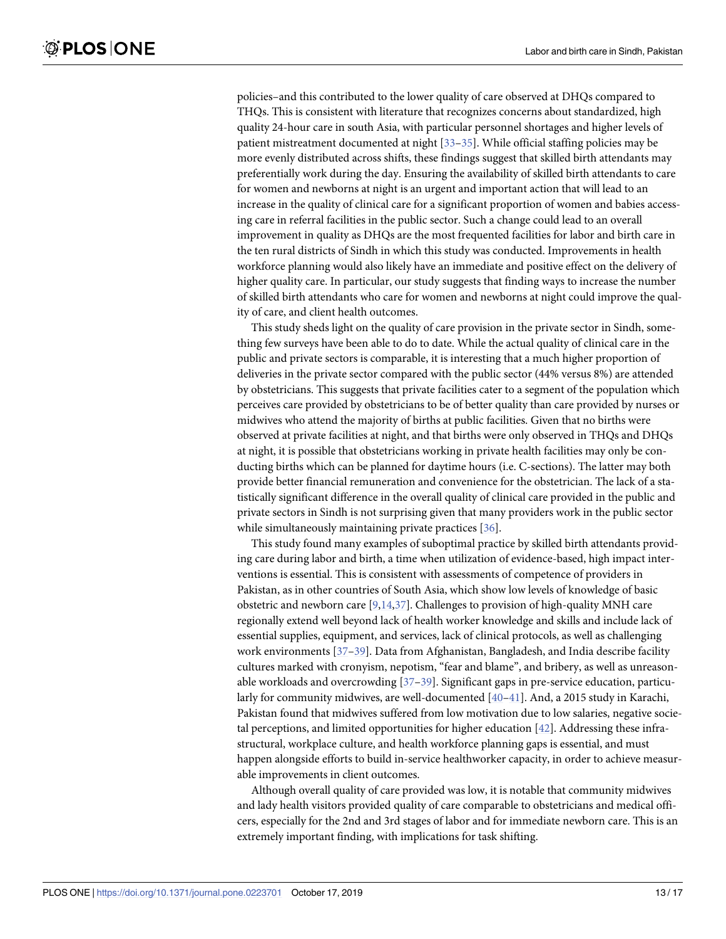<span id="page-12-0"></span>policies–and this contributed to the lower quality of care observed at DHQs compared to THQs. This is consistent with literature that recognizes concerns about standardized, high quality 24-hour care in south Asia, with particular personnel shortages and higher levels of patient mistreatment documented at night [[33](#page-15-0)[–35\]](#page-16-0). While official staffing policies may be more evenly distributed across shifts, these findings suggest that skilled birth attendants may preferentially work during the day. Ensuring the availability of skilled birth attendants to care for women and newborns at night is an urgent and important action that will lead to an increase in the quality of clinical care for a significant proportion of women and babies accessing care in referral facilities in the public sector. Such a change could lead to an overall improvement in quality as DHQs are the most frequented facilities for labor and birth care in the ten rural districts of Sindh in which this study was conducted. Improvements in health workforce planning would also likely have an immediate and positive effect on the delivery of higher quality care. In particular, our study suggests that finding ways to increase the number of skilled birth attendants who care for women and newborns at night could improve the quality of care, and client health outcomes.

This study sheds light on the quality of care provision in the private sector in Sindh, something few surveys have been able to do to date. While the actual quality of clinical care in the public and private sectors is comparable, it is interesting that a much higher proportion of deliveries in the private sector compared with the public sector (44% versus 8%) are attended by obstetricians. This suggests that private facilities cater to a segment of the population which perceives care provided by obstetricians to be of better quality than care provided by nurses or midwives who attend the majority of births at public facilities. Given that no births were observed at private facilities at night, and that births were only observed in THQs and DHQs at night, it is possible that obstetricians working in private health facilities may only be conducting births which can be planned for daytime hours (i.e. C-sections). The latter may both provide better financial remuneration and convenience for the obstetrician. The lack of a statistically significant difference in the overall quality of clinical care provided in the public and private sectors in Sindh is not surprising given that many providers work in the public sector while simultaneously maintaining private practices [[36](#page-16-0)].

This study found many examples of suboptimal practice by skilled birth attendants providing care during labor and birth, a time when utilization of evidence-based, high impact interventions is essential. This is consistent with assessments of competence of providers in Pakistan, as in other countries of South Asia, which show low levels of knowledge of basic obstetric and newborn care  $[9,14,37]$  $[9,14,37]$  $[9,14,37]$ . Challenges to provision of high-quality MNH care regionally extend well beyond lack of health worker knowledge and skills and include lack of essential supplies, equipment, and services, lack of clinical protocols, as well as challenging work environments [\[37–39](#page-16-0)]. Data from Afghanistan, Bangladesh, and India describe facility cultures marked with cronyism, nepotism, "fear and blame", and bribery, as well as unreasonable workloads and overcrowding [\[37–39](#page-16-0)]. Significant gaps in pre-service education, particularly for community midwives, are well-documented [[40](#page-16-0)–[41\]](#page-16-0). And, a 2015 study in Karachi, Pakistan found that midwives suffered from low motivation due to low salaries, negative societal perceptions, and limited opportunities for higher education [\[42\]](#page-16-0). Addressing these infrastructural, workplace culture, and health workforce planning gaps is essential, and must happen alongside efforts to build in-service healthworker capacity, in order to achieve measurable improvements in client outcomes.

Although overall quality of care provided was low, it is notable that community midwives and lady health visitors provided quality of care comparable to obstetricians and medical officers, especially for the 2nd and 3rd stages of labor and for immediate newborn care. This is an extremely important finding, with implications for task shifting.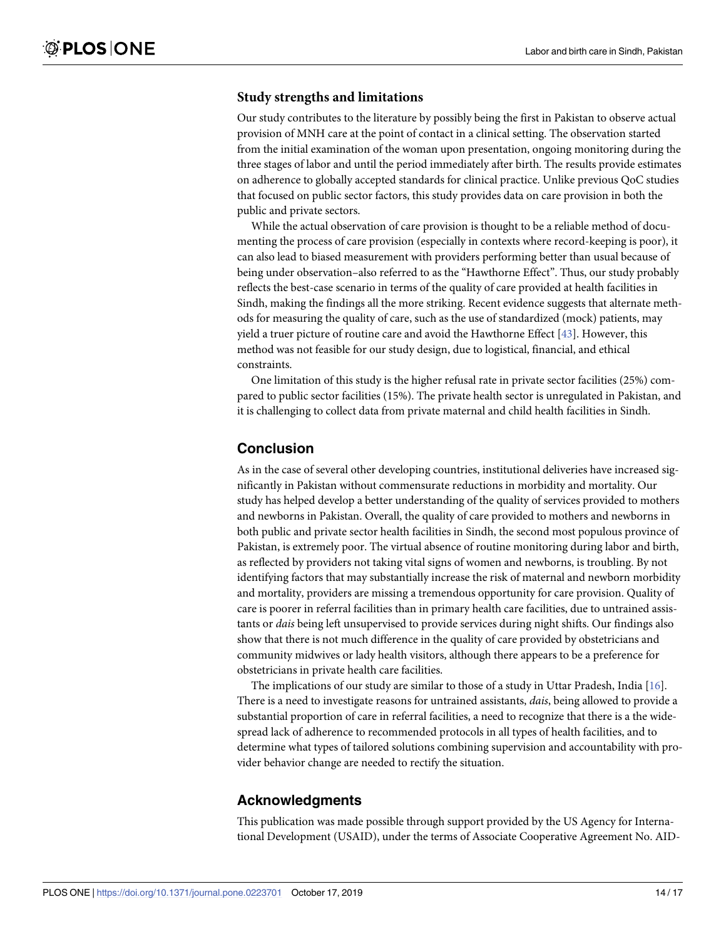### <span id="page-13-0"></span>**Study strengths and limitations**

Our study contributes to the literature by possibly being the first in Pakistan to observe actual provision of MNH care at the point of contact in a clinical setting. The observation started from the initial examination of the woman upon presentation, ongoing monitoring during the three stages of labor and until the period immediately after birth. The results provide estimates on adherence to globally accepted standards for clinical practice. Unlike previous QoC studies that focused on public sector factors, this study provides data on care provision in both the public and private sectors.

While the actual observation of care provision is thought to be a reliable method of documenting the process of care provision (especially in contexts where record-keeping is poor), it can also lead to biased measurement with providers performing better than usual because of being under observation–also referred to as the "Hawthorne Effect". Thus, our study probably reflects the best-case scenario in terms of the quality of care provided at health facilities in Sindh, making the findings all the more striking. Recent evidence suggests that alternate methods for measuring the quality of care, such as the use of standardized (mock) patients, may yield a truer picture of routine care and avoid the Hawthorne Effect [\[43\]](#page-16-0). However, this method was not feasible for our study design, due to logistical, financial, and ethical constraints.

One limitation of this study is the higher refusal rate in private sector facilities (25%) compared to public sector facilities (15%). The private health sector is unregulated in Pakistan, and it is challenging to collect data from private maternal and child health facilities in Sindh.

### **Conclusion**

As in the case of several other developing countries, institutional deliveries have increased significantly in Pakistan without commensurate reductions in morbidity and mortality. Our study has helped develop a better understanding of the quality of services provided to mothers and newborns in Pakistan. Overall, the quality of care provided to mothers and newborns in both public and private sector health facilities in Sindh, the second most populous province of Pakistan, is extremely poor. The virtual absence of routine monitoring during labor and birth, as reflected by providers not taking vital signs of women and newborns, is troubling. By not identifying factors that may substantially increase the risk of maternal and newborn morbidity and mortality, providers are missing a tremendous opportunity for care provision. Quality of care is poorer in referral facilities than in primary health care facilities, due to untrained assistants or *dais* being left unsupervised to provide services during night shifts. Our findings also show that there is not much difference in the quality of care provided by obstetricians and community midwives or lady health visitors, although there appears to be a preference for obstetricians in private health care facilities.

The implications of our study are similar to those of a study in Uttar Pradesh, India  $[16]$  $[16]$  $[16]$ . There is a need to investigate reasons for untrained assistants, *dais*, being allowed to provide a substantial proportion of care in referral facilities, a need to recognize that there is a the widespread lack of adherence to recommended protocols in all types of health facilities, and to determine what types of tailored solutions combining supervision and accountability with provider behavior change are needed to rectify the situation.

### **Acknowledgments**

This publication was made possible through support provided by the US Agency for International Development (USAID), under the terms of Associate Cooperative Agreement No. AID-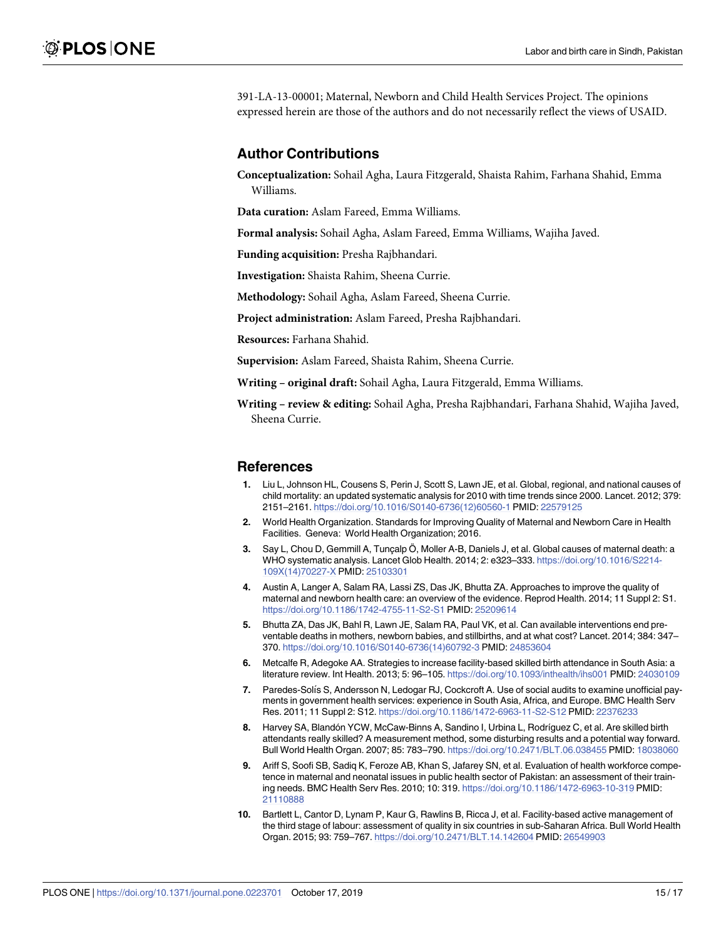<span id="page-14-0"></span>391-LA-13-00001; Maternal, Newborn and Child Health Services Project. The opinions expressed herein are those of the authors and do not necessarily reflect the views of USAID.

### **Author Contributions**

**Conceptualization:** Sohail Agha, Laura Fitzgerald, Shaista Rahim, Farhana Shahid, Emma Williams.

**Data curation:** Aslam Fareed, Emma Williams.

**Formal analysis:** Sohail Agha, Aslam Fareed, Emma Williams, Wajiha Javed.

**Funding acquisition:** Presha Rajbhandari.

**Investigation:** Shaista Rahim, Sheena Currie.

**Methodology:** Sohail Agha, Aslam Fareed, Sheena Currie.

**Project administration:** Aslam Fareed, Presha Rajbhandari.

**Resources:** Farhana Shahid.

**Supervision:** Aslam Fareed, Shaista Rahim, Sheena Currie.

**Writing – original draft:** Sohail Agha, Laura Fitzgerald, Emma Williams.

**Writing – review & editing:** Sohail Agha, Presha Rajbhandari, Farhana Shahid, Wajiha Javed, Sheena Currie.

#### **References**

- **[1](#page-0-0).** Liu L, Johnson HL, Cousens S, Perin J, Scott S, Lawn JE, et al. Global, regional, and national causes of child mortality: an updated systematic analysis for 2010 with time trends since 2000. Lancet. 2012; 379: 2151–2161. [https://doi.org/10.1016/S0140-6736\(12\)60560-1](https://doi.org/10.1016/S0140-6736(12)60560-1) PMID: [22579125](http://www.ncbi.nlm.nih.gov/pubmed/22579125)
- **[2](#page-0-0).** World Health Organization. Standards for Improving Quality of Maternal and Newborn Care in Health Facilities. Geneva: World Health Organization; 2016.
- **[3](#page-0-0).** Say L, Chou D, Gemmill A, Tunçalp Ö, Moller A-B, Daniels J, et al. Global causes of maternal death: a WHO systematic analysis. Lancet Glob Health. 2014; 2: e323–333. [https://doi.org/10.1016/S2214-](https://doi.org/10.1016/S2214-109X(14)70227-X) [109X\(14\)70227-X](https://doi.org/10.1016/S2214-109X(14)70227-X) PMID: [25103301](http://www.ncbi.nlm.nih.gov/pubmed/25103301)
- **[4](#page-0-0).** Austin A, Langer A, Salam RA, Lassi ZS, Das JK, Bhutta ZA. Approaches to improve the quality of maternal and newborn health care: an overview of the evidence. Reprod Health. 2014; 11 Suppl 2: S1. <https://doi.org/10.1186/1742-4755-11-S2-S1> PMID: [25209614](http://www.ncbi.nlm.nih.gov/pubmed/25209614)
- **[5](#page-1-0).** Bhutta ZA, Das JK, Bahl R, Lawn JE, Salam RA, Paul VK, et al. Can available interventions end preventable deaths in mothers, newborn babies, and stillbirths, and at what cost? Lancet. 2014; 384: 347– 370. [https://doi.org/10.1016/S0140-6736\(14\)60792-3](https://doi.org/10.1016/S0140-6736(14)60792-3) PMID: [24853604](http://www.ncbi.nlm.nih.gov/pubmed/24853604)
- **[6](#page-1-0).** Metcalfe R, Adegoke AA. Strategies to increase facility-based skilled birth attendance in South Asia: a literature review. Int Health. 2013; 5: 96–105. <https://doi.org/10.1093/inthealth/ihs001> PMID: [24030109](http://www.ncbi.nlm.nih.gov/pubmed/24030109)
- **[7](#page-1-0).** Paredes-Solı´s S, Andersson N, Ledogar RJ, Cockcroft A. Use of social audits to examine unofficial payments in government health services: experience in South Asia, Africa, and Europe. BMC Health Serv Res. 2011; 11 Suppl 2: S12. <https://doi.org/10.1186/1472-6963-11-S2-S12> PMID: [22376233](http://www.ncbi.nlm.nih.gov/pubmed/22376233)
- **[8](#page-1-0).** Harvey SA, Blandón YCW, McCaw-Binns A, Sandino I, Urbina L, Rodríguez C, et al. Are skilled birth attendants really skilled? A measurement method, some disturbing results and a potential way forward. Bull World Health Organ. 2007; 85: 783–790. <https://doi.org/10.2471/BLT.06.038455> PMID: [18038060](http://www.ncbi.nlm.nih.gov/pubmed/18038060)
- **[9](#page-1-0).** Ariff S, Soofi SB, Sadiq K, Feroze AB, Khan S, Jafarey SN, et al. Evaluation of health workforce competence in maternal and neonatal issues in public health sector of Pakistan: an assessment of their training needs. BMC Health Serv Res. 2010; 10: 319. <https://doi.org/10.1186/1472-6963-10-319> PMID: [21110888](http://www.ncbi.nlm.nih.gov/pubmed/21110888)
- **[10](#page-1-0).** Bartlett L, Cantor D, Lynam P, Kaur G, Rawlins B, Ricca J, et al. Facility-based active management of the third stage of labour: assessment of quality in six countries in sub-Saharan Africa. Bull World Health Organ. 2015; 93: 759–767. <https://doi.org/10.2471/BLT.14.142604> PMID: [26549903](http://www.ncbi.nlm.nih.gov/pubmed/26549903)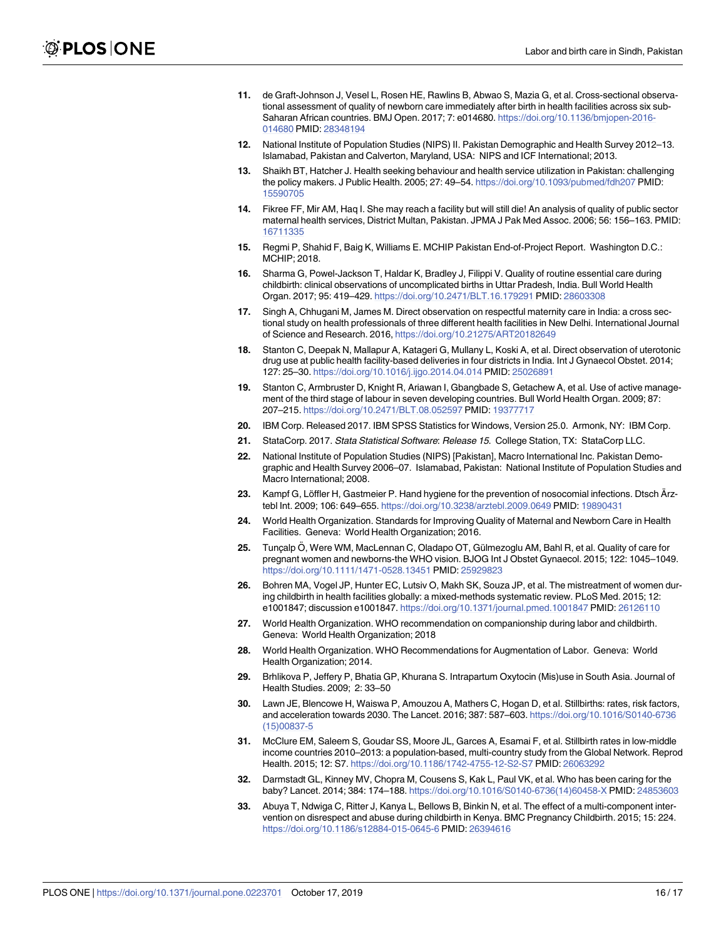- <span id="page-15-0"></span>**[11](#page-1-0).** de Graft-Johnson J, Vesel L, Rosen HE, Rawlins B, Abwao S, Mazia G, et al. Cross-sectional observational assessment of quality of newborn care immediately after birth in health facilities across six sub-Saharan African countries. BMJ Open. 2017; 7: e014680. [https://doi.org/10.1136/bmjopen-2016-](https://doi.org/10.1136/bmjopen-2016-014680) [014680](https://doi.org/10.1136/bmjopen-2016-014680) PMID: [28348194](http://www.ncbi.nlm.nih.gov/pubmed/28348194)
- **[12](#page-1-0).** National Institute of Population Studies (NIPS) II. Pakistan Demographic and Health Survey 2012–13. Islamabad, Pakistan and Calverton, Maryland, USA: NIPS and ICF International; 2013.
- **[13](#page-1-0).** Shaikh BT, Hatcher J. Health seeking behaviour and health service utilization in Pakistan: challenging the policy makers. J Public Health. 2005; 27: 49–54. <https://doi.org/10.1093/pubmed/fdh207> PMID: [15590705](http://www.ncbi.nlm.nih.gov/pubmed/15590705)
- **[14](#page-1-0).** Fikree FF, Mir AM, Haq I. She may reach a facility but will still die! An analysis of quality of public sector maternal health services, District Multan, Pakistan. JPMA J Pak Med Assoc. 2006; 56: 156–163. PMID: [16711335](http://www.ncbi.nlm.nih.gov/pubmed/16711335)
- **[15](#page-1-0).** Regmi P, Shahid F, Baig K, Williams E. MCHIP Pakistan End-of-Project Report. Washington D.C.: MCHIP; 2018.
- **[16](#page-1-0).** Sharma G, Powel-Jackson T, Haldar K, Bradley J, Filippi V. Quality of routine essential care during childbirth: clinical observations of uncomplicated births in Uttar Pradesh, India. Bull World Health Organ. 2017; 95: 419–429. <https://doi.org/10.2471/BLT.16.179291> PMID: [28603308](http://www.ncbi.nlm.nih.gov/pubmed/28603308)
- **[17](#page-1-0).** Singh A, Chhugani M, James M. Direct observation on respectful maternity care in India: a cross sectional study on health professionals of three different health facilities in New Delhi. International Journal of Science and Research. 2016, <https://doi.org/10.21275/ART20182649>
- **[18](#page-1-0).** Stanton C, Deepak N, Mallapur A, Katageri G, Mullany L, Koski A, et al. Direct observation of uterotonic drug use at public health facility-based deliveries in four districts in India. Int J Gynaecol Obstet. 2014; 127: 25–30. <https://doi.org/10.1016/j.ijgo.2014.04.014> PMID: [25026891](http://www.ncbi.nlm.nih.gov/pubmed/25026891)
- **[19](#page-2-0).** Stanton C, Armbruster D, Knight R, Ariawan I, Gbangbade S, Getachew A, et al. Use of active management of the third stage of labour in seven developing countries. Bull World Health Organ. 2009; 87: 207–215. <https://doi.org/10.2471/BLT.08.052597> PMID: [19377717](http://www.ncbi.nlm.nih.gov/pubmed/19377717)
- **[20](#page-3-0).** IBM Corp. Released 2017. IBM SPSS Statistics for Windows, Version 25.0. Armonk, NY: IBM Corp.
- **[21](#page-3-0).** StataCorp. 2017. Stata Statistical Software: Release 15. College Station, TX: StataCorp LLC.
- **[22](#page-10-0).** National Institute of Population Studies (NIPS) [Pakistan], Macro International Inc. Pakistan Demographic and Health Survey 2006–07. Islamabad, Pakistan: National Institute of Population Studies and Macro International; 2008.
- **[23](#page-10-0).** Kampf G, Löffler H, Gastmeier P. Hand hygiene for the prevention of nosocomial infections. Dtsch Ärztebl Int. 2009; 106: 649–655. <https://doi.org/10.3238/arztebl.2009.0649> PMID: [19890431](http://www.ncbi.nlm.nih.gov/pubmed/19890431)
- **[24](#page-10-0).** World Health Organization. Standards for Improving Quality of Maternal and Newborn Care in Health Facilities. Geneva: World Health Organization; 2016.
- **[25](#page-10-0).** Tunçalp Ö, Were WM, MacLennan C, Oladapo OT, Gülmezoglu AM, Bahl R, et al. Quality of care for pregnant women and newborns-the WHO vision. BJOG Int J Obstet Gynaecol. 2015; 122: 1045–1049. <https://doi.org/10.1111/1471-0528.13451> PMID: [25929823](http://www.ncbi.nlm.nih.gov/pubmed/25929823)
- **[26](#page-10-0).** Bohren MA, Vogel JP, Hunter EC, Lutsiv O, Makh SK, Souza JP, et al. The mistreatment of women during childbirth in health facilities globally: a mixed-methods systematic review. PLoS Med. 2015; 12: e1001847; discussion e1001847. <https://doi.org/10.1371/journal.pmed.1001847> PMID: [26126110](http://www.ncbi.nlm.nih.gov/pubmed/26126110)
- **[27](#page-10-0).** World Health Organization. WHO recommendation on companionship during labor and childbirth. Geneva: World Health Organization; 2018
- **[28](#page-10-0).** World Health Organization. WHO Recommendations for Augmentation of Labor. Geneva: World Health Organization; 2014.
- **[29](#page-10-0).** Brhlikova P, Jeffery P, Bhatia GP, Khurana S. Intrapartum Oxytocin (Mis)use in South Asia. Journal of Health Studies. 2009; 2: 33–50
- **[30](#page-11-0).** Lawn JE, Blencowe H, Waiswa P, Amouzou A, Mathers C, Hogan D, et al. Stillbirths: rates, risk factors, and acceleration towards 2030. The Lancet. 2016; 387: 587–603. [https://doi.org/10.1016/S0140-6736](https://doi.org/10.1016/S0140-6736(15)00837-5) [\(15\)00837-5](https://doi.org/10.1016/S0140-6736(15)00837-5)
- **[31](#page-11-0).** McClure EM, Saleem S, Goudar SS, Moore JL, Garces A, Esamai F, et al. Stillbirth rates in low-middle income countries 2010–2013: a population-based, multi-country study from the Global Network. Reprod Health. 2015; 12: S7. <https://doi.org/10.1186/1742-4755-12-S2-S7> PMID: [26063292](http://www.ncbi.nlm.nih.gov/pubmed/26063292)
- **[32](#page-11-0).** Darmstadt GL, Kinney MV, Chopra M, Cousens S, Kak L, Paul VK, et al. Who has been caring for the baby? Lancet. 2014; 384: 174–188. [https://doi.org/10.1016/S0140-6736\(14\)60458-X](https://doi.org/10.1016/S0140-6736(14)60458-X) PMID: [24853603](http://www.ncbi.nlm.nih.gov/pubmed/24853603)
- **[33](#page-12-0).** Abuya T, Ndwiga C, Ritter J, Kanya L, Bellows B, Binkin N, et al. The effect of a multi-component intervention on disrespect and abuse during childbirth in Kenya. BMC Pregnancy Childbirth. 2015; 15: 224. <https://doi.org/10.1186/s12884-015-0645-6> PMID: [26394616](http://www.ncbi.nlm.nih.gov/pubmed/26394616)